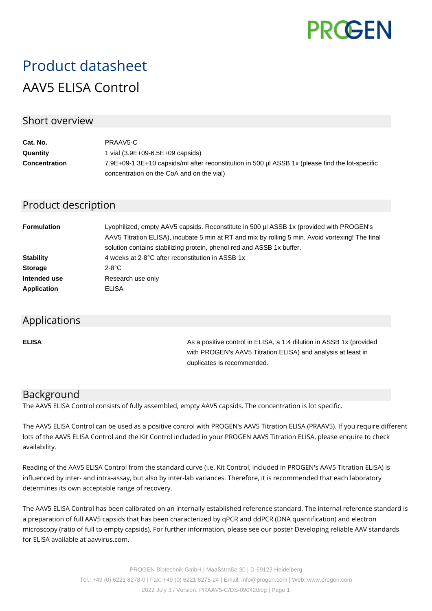

# Product datasheet AAV5 ELISA Control

## Short overview

| Cat. No.             | PRAAV5-C                                                                                        |
|----------------------|-------------------------------------------------------------------------------------------------|
| Quantity             | 1 vial (3.9E+09-6.5E+09 capsids)                                                                |
| <b>Concentration</b> | 7.9E+09-1.3E+10 capsids/ml after reconstitution in 500 ul ASSB 1x (please find the lot-specific |
|                      | concentration on the CoA and on the vial)                                                       |

# Product description

| <b>Formulation</b> | Lyophilized, empty AAV5 capsids. Reconstitute in 500 µl ASSB 1x (provided with PROGEN's<br>AAV5 Titration ELISA), incubate 5 min at RT and mix by rolling 5 min. Avoid vortexing! The final<br>solution contains stabilizing protein, phenol red and ASSB 1x buffer. |
|--------------------|----------------------------------------------------------------------------------------------------------------------------------------------------------------------------------------------------------------------------------------------------------------------|
| <b>Stability</b>   | 4 weeks at 2-8°C after reconstitution in ASSB 1x                                                                                                                                                                                                                     |
| <b>Storage</b>     | $2-8$ °C                                                                                                                                                                                                                                                             |
| Intended use       | Research use only                                                                                                                                                                                                                                                    |
| <b>Application</b> | ELISA                                                                                                                                                                                                                                                                |

#### Applications

**ELISA As a positive control in ELISA, a 1:4 dilution in ASSB 1x (provided Assets** 1:4 dilution in ASSB 1x (provided with PROGEN's AAV5 Titration ELISA) and analysis at least in duplicates is recommended.

## Background

The AAV5 ELISA Control consists of fully assembled, empty AAV5 capsids. The concentration is lot specific.

The AAV5 ELISA Control can be used as a positive control with PROGEN's AAV5 Titration ELISA (PRAAV5). If you require different lots of the AAV5 ELISA Control and the Kit Control included in your PROGEN AAV5 Titration ELISA, please enquire to check availability.

Reading of the AAV5 ELISA Control from the standard curve (i.e. Kit Control, included in PROGEN's AAV5 Titration ELISA) is influenced by inter- and intra-assay, but also by inter-lab variances. Therefore, it is recommended that each laboratory determines its own acceptable range of recovery.

The AAV5 ELISA Control has been calibrated on an internally established reference standard. The internal reference standard is a preparation of full AAV5 capsids that has been characterized by qPCR and ddPCR (DNA quantification) and electron microscopy (ratio of full to empty capsids). For further information, please see our poster Developing reliable AAV standards for ELISA available at aavvirus.com.